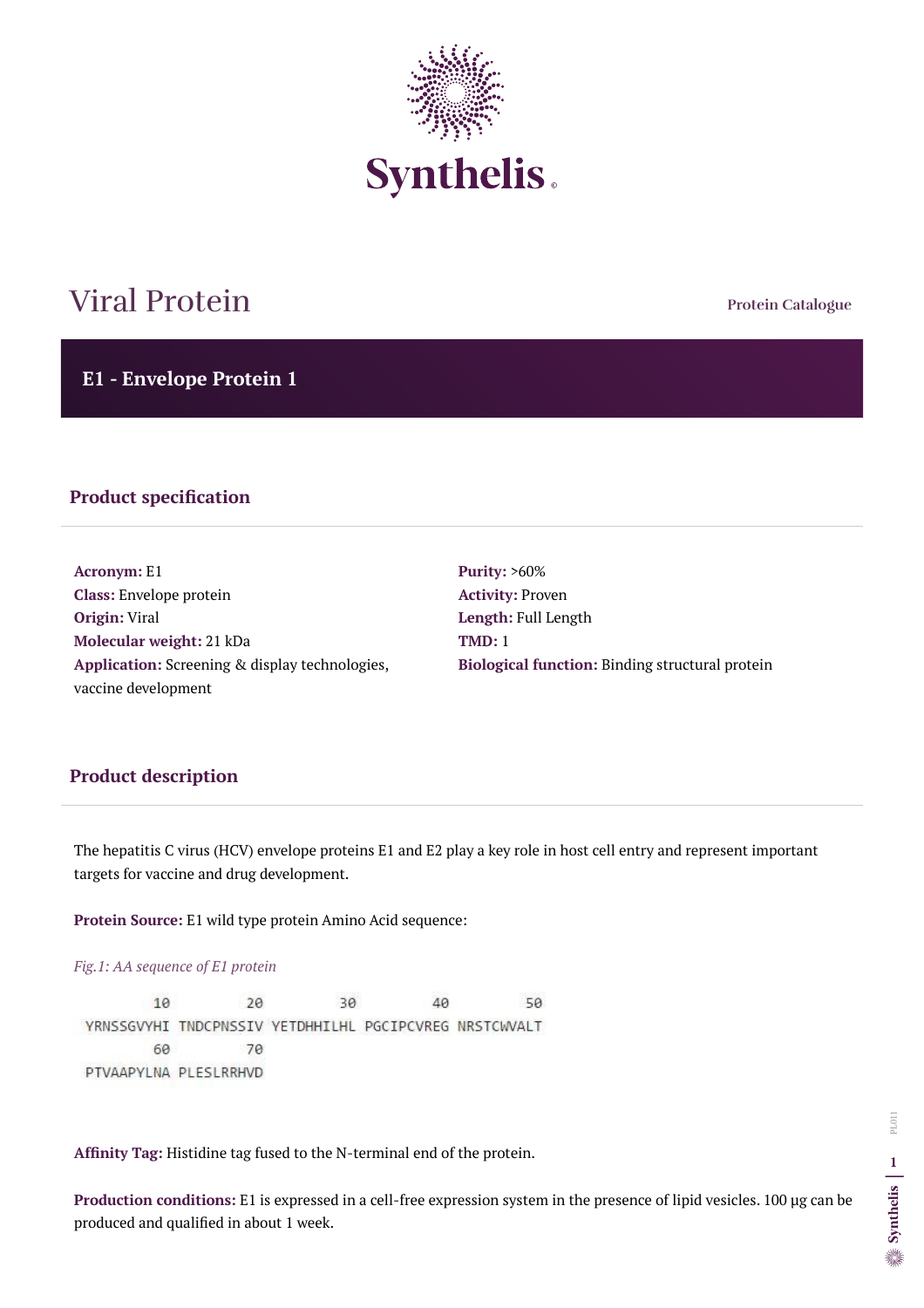**Protein Catalogue**

**E1 - Envelope Protein 1**



# Viral Protein

#### **Product specification**

**Acronym:** E1 **Class:** Envelope protein **Origin:** Viral **Molecular weight:** 21 kDa **Application:** Screening & display technologies, vaccine development

**Purity:** >60% **Activity:** Proven **Length:** Full Length **TMD:** 1 **Biological function:** Binding structural protein

## **Product description**

The hepatitis C virus (HCV) envelope proteins E1 and E2 play a key role in host cell entry and represent important targets for vaccine and drug development.

**Protein Source:** E1 wild type protein Amino Acid sequence:

*Fig.1: AA sequence of E1 protein* 

10 20 30 40 50 YRNSSGVYHI TNDCPNSSIV YETDHHILHL PGCIPCVREG NRSTCWVALT 60 70 PTVAAPYLNA PLESLRRHVD

**Affinity Tag:** Histidine tag fused to the N-terminal end of the protein.

**Production conditions:** E1 is expressed in a cell-free expression system in the presence of lipid vesicles. 100 µg can be produced and qualified in about 1 week.